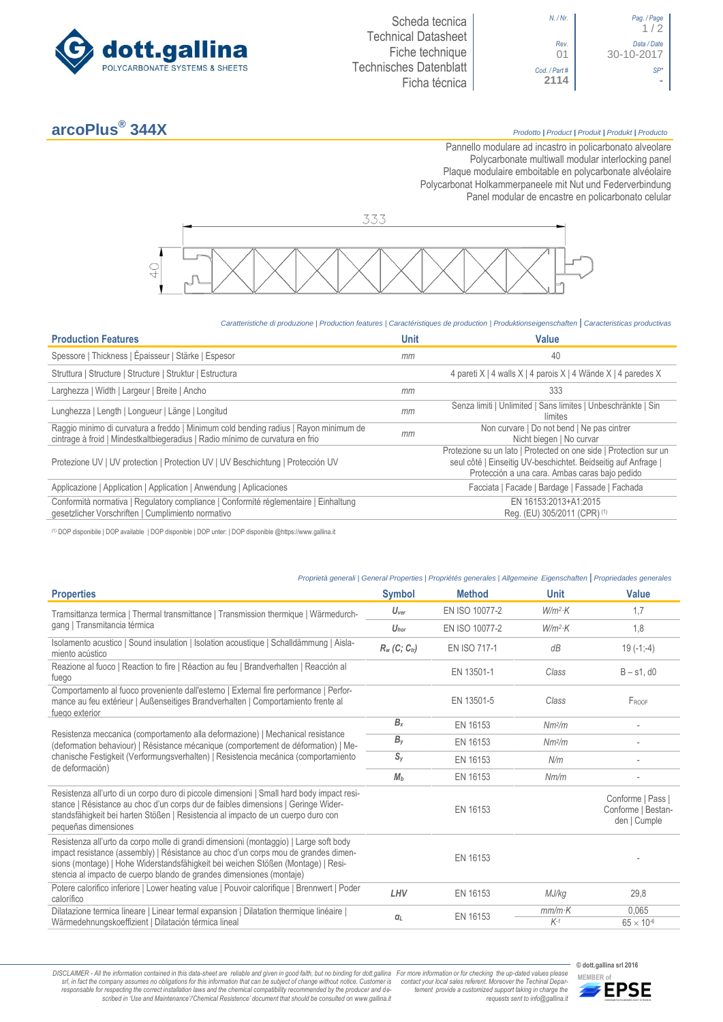

## **arcoPlus®**

## **344X** *Prodotto <sup>|</sup> Product <sup>|</sup> Produit <sup>|</sup> Produkt <sup>|</sup> Producto*

 $1/2$ 

30-10-2017

Pannello modulare ad incastro in policarbonato alveolare Polycarbonate multiwall modular interlocking panel Plaque modulaire emboitable en polycarbonate alvéolaire Polycarbonat Holkammerpaneele mit Nut und Federverbindung [Panel modular de encastre en policarbonato c](http://www.google.it/url?sa=t&rct=j&q=&esrc=s&source=web&cd=6&ved=0ahUKEwiPyOW6w_3PAhXLORoKHXbkAhUQFggtMAU&url=http%3A%2F%2Fwww.getsl.com%2Fes%2Fmateriales-construccion%2Fsabic-policarbonato%2Fplaca-solida%2Flexan-exell-d-placa-translucida%2F&usg=AFQjCNF4aMpg9CRcF79iWWH-XBKKMH3eWA&bvm=bv.136811127,d.bGs)elular



## *Caratteristiche di produzione | Production features | Caractéristiques de production | Produktionseigenschaften* **|** *Caracteristicas productivas*

| <b>Production Features</b>                                                                                                                                            | <b>Unit</b> | Value                                                                                                                                                                                 |
|-----------------------------------------------------------------------------------------------------------------------------------------------------------------------|-------------|---------------------------------------------------------------------------------------------------------------------------------------------------------------------------------------|
| Spessore   Thickness   Épaisseur   Stärke   Espesor                                                                                                                   | mm          | 40                                                                                                                                                                                    |
| Struttura   Structure   Structure   Struktur   Estructura                                                                                                             |             | 4 pareti X   4 walls X   4 parois X   4 Wände X   4 paredes X                                                                                                                         |
| Larghezza   Width   Largeur   Breite   Ancho                                                                                                                          | mm          | 333                                                                                                                                                                                   |
| Lunghezza   Length   Longueur   Länge   Longitud                                                                                                                      | mm          | Senza limiti   Unlimited   Sans limites   Unbeschränkte   Sin<br>límites                                                                                                              |
| Raggio minimo di curvatura a freddo   Minimum cold bending radius   Rayon minimum de<br>cintrage à froid   Mindestkaltbiegeradius   Radio mínimo de curvatura en frio | mm          | Non curvare   Do not bend   Ne pas cintrer<br>Nicht biegen   No curvar                                                                                                                |
| Protezione UV   UV protection   Protection UV   UV Beschichtung   Protección UV                                                                                       |             | Protezione su un lato   Protected on one side   Protection sur un<br>seul côté   Einseitig UV-beschichtet. Beidseitig auf Anfrage  <br>Protección a una cara. Ambas caras bajo pedido |
| Applicazione   Application   Application   Anwendung   Aplicaciones                                                                                                   |             | Facciata   Facade   Bardage   Fassade   Fachada                                                                                                                                       |
| Conformità normativa   Regulatory compliance   Conformité réglementaire   Einhaltung<br>gesetzlicher Vorschriften   Cumplimiento normativo                            |             | EN 16153:2013+A1:2015<br>Reg. (EU) 305/2011 (CPR) (1)                                                                                                                                 |

(1) DOP disponibile | DOP available | DOP disponible | DOP unter: | DOP disponible @https://www.gallina.it

| Proprietà generali   General Properties   Propriétés generales   Allgemeine Eigenschaften   Propriedades generales                                                                                                                                                                                                                      |                             |                |                    |                                                         |
|-----------------------------------------------------------------------------------------------------------------------------------------------------------------------------------------------------------------------------------------------------------------------------------------------------------------------------------------|-----------------------------|----------------|--------------------|---------------------------------------------------------|
| <b>Properties</b>                                                                                                                                                                                                                                                                                                                       | <b>Symbol</b>               | <b>Method</b>  | <b>Unit</b>        | <b>Value</b>                                            |
| Tramsittanza termica   Thermal transmittance   Transmission thermique   Wärmedurch-                                                                                                                                                                                                                                                     | $U_{\text{ver}}$            | EN ISO 10077-2 | $W/m^2$ K          | 1,7                                                     |
| gang   Transmitancia térmica                                                                                                                                                                                                                                                                                                            | $U_{\text{hor}}$            | EN ISO 10077-2 | $W/m^2$ K          | 1,8                                                     |
| Isolamento acustico   Sound insulation   Isolation acoustique   Schalldämmung   Aisla-<br>miento acústico                                                                                                                                                                                                                               | $R_w$ (C; C <sub>tr</sub> ) | EN ISO 717-1   | dB                 | $19(-1,-4)$                                             |
| Reazione al fuoco   Reaction to fire   Réaction au feu   Brandverhalten   Reacción al<br>fuego                                                                                                                                                                                                                                          |                             | EN 13501-1     | Class              | $B - s1$ , d $0$                                        |
| Comportamento al fuoco proveniente dall'esterno   External fire performance   Perfor-<br>mance au feu extérieur   Außenseitiges Brandverhalten   Comportamiento frente al<br>fuego exterior                                                                                                                                             |                             | EN 13501-5     | Class              | FROOF                                                   |
|                                                                                                                                                                                                                                                                                                                                         | $B_{x}$                     | EN 16153       | Nm <sup>2</sup> /m |                                                         |
| Resistenza meccanica (comportamento alla deformazione)   Mechanical resistance<br>(deformation behaviour)   Résistance mécanique (comportement de déformation)   Me-                                                                                                                                                                    | $B_{V}$                     | EN 16153       | Nm <sup>2</sup> /m |                                                         |
| chanische Festigkeit (Verformungsverhalten)   Resistencia mecánica (comportamiento<br>de deformación)                                                                                                                                                                                                                                   | $S_{V}$                     | EN 16153       | N/m                |                                                         |
|                                                                                                                                                                                                                                                                                                                                         | $M_b$                       | EN 16153       | Nm/m               |                                                         |
| Resistenza all'urto di un corpo duro di piccole dimensioni   Small hard body impact resi-<br>stance   Résistance au choc d'un corps dur de faibles dimensions   Geringe Wider-<br>standsfähigkeit bei harten Stößen   Resistencia al impacto de un cuerpo duro con<br>pequeñas dimensiones                                              |                             | EN 16153       |                    | Conforme   Pass  <br>Conforme   Bestan-<br>den   Cumple |
| Resistenza all'urto da corpo molle di grandi dimensioni (montaggio)   Large soft body<br>impact resistance (assembly)   Résistance au choc d'un corps mou de grandes dimen-<br>sions (montage)   Hohe Widerstandsfähigkeit bei weichen Stößen (Montage)   Resi-<br>stencia al impacto de cuerpo blando de grandes dimensiones (montaje) |                             | EN 16153       |                    |                                                         |
| Potere calorifico inferiore   Lower heating value   Pouvoir calorifique   Brennwert   Poder<br>calorífico                                                                                                                                                                                                                               | LHV                         | EN 16153       | MJ/kg              | 29,8                                                    |
| Dilatazione termica lineare   Linear termal expansion   Dilatation thermique linéaire  <br>Wärmedehnungskoeffizient   Dilatación térmica lineal                                                                                                                                                                                         | $q_L$                       | EN 16153       | $mm/m$ K<br>$K-1$  | 0.065<br>$65 \times 10^{-6}$                            |

DISCLAIMER - All the information contained in this data-sheet are reliable and given in good faith, but no binding for dott.gallina For more information or for checking the up-dated values please<br>-srl, in fact the company -responsable for respecting the correct installation laws and the chemical compatibility recommended by the producer and de-<br>scribed in 'Use and Maintenance'/'Chemical Resistence' document that should be consulted on www.g

**© dott.gallina srl 2016** *tement provide a customized support taking in charge the requests sent to info@gallina.it*